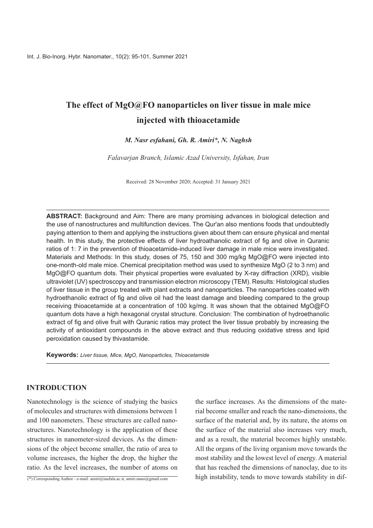# **The effect of MgO@FO nanoparticles on liver tissue in male mice thioacetamide with injected**

## *M. Nasr esfahani, Gh. R. Amiri\*, N. Naghsh*

*Falavarjan Branch, Islamic Azad University, Isfahan, Iran* 

Received: 28 November 2020; Accepted: 31 January 2021

ABSTRACT: Background and Aim: There are many promising advances in biological detection and the use of nanostructures and multifunction devices. The Qur'an also mentions foods that undoubtedly paying attention to them and applying the instructions given about them can ensure physical and mental health. In this study, the protective effects of liver hydroathanolic extract of fig and olive in Quranic ratios of 1: 7 in the prevention of thioacetamide-induced liver damage in male mice were investigated. Materials and Methods: In this study, doses of 75, 150 and 300 mg/kg MgO@FO were injected into one-month-old male mice. Chemical precipitation method was used to synthesize MgO (2 to 3 nm) and MgO@FO quantum dots. Their physical properties were evaluated by X-ray diffraction (XRD), visible ultraviolet (UV) spectroscopy and transmission electron microscopy (TEM). Results: Histological studies of liver tissue in the group treated with plant extracts and nanoparticles. The nanoparticles coated with hydroethanolic extract of fig and olive oil had the least damage and bleeding compared to the group receiving thioacetamide at a concentration of 100 kg/mg. It was shown that the obtained  $MaO@FO$ quantum dots have a high hexagonal crystal structure. Conclusion: The combination of hydroethanolic extract of fig and olive fruit with Quranic ratios may protect the liver tissue probably by increasing the activity of antioxidant compounds in the above extract and thus reducing oxidative stress and lipid peroxidation caused by thivastamide.

**Keywords:** Liver tissue, Mice, MgO, Nanoparticles, Thioacetamide

# **INTRODUCTION**

Nanotechnology is the science of studying the basics of molecules and structures with dimensions between 1 structures. Nanotechnology is the application of these and 100 nanometers. These structures are called nanosions of the object become smaller, the ratio of area to structures in nanometer-sized devices. As the dimenvolume increases, the higher the drop, the higher the ratio. As the level increases, the number of atoms on

(\*) Corresponding Author - e-mail: amiri@iaufala.ac.ir, amiri.nano@gmail.com

rial become smaller and reach the nano-dimensions, the the surface increases. As the dimensions of the matesurface of the material and, by its nature, the atoms on the surface of the material also increases very much, and as a result, the material becomes highly unstable. All the organs of the living organism move towards the most stability and the lowest level of energy. A material that has reached the dimensions of nanoclay, due to its high instability, tends to move towards stability in dif-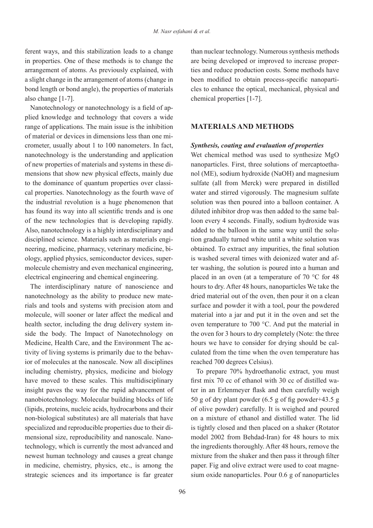ferent ways, and this stabilization leads to a change in properties. One of these methods is to change the arrangement of atoms. As previously explained, with a slight change in the arrangement of atoms (change in bond length or bond angle), the properties of materials also change  $[1-7]$ .

plied knowledge and technology that covers a wide Nanotechnology or nanotechnology is a field of aprange of applications. The main issue is the inhibition crometer, usually about 1 to 100 nanometers. In fact, of material or devices in dimensions less than one minanotechnology is the understanding and application mensions that show new physical effects, mainly due of new properties of materials and systems in these dical properties. Nanotechnology as the fourth wave of to the dominance of quantum properties over classithe industrial revolution is a huge phenomenon that has found its way into all scientific trends and is one of the new technologies that is developing rapidly. Also, nanotechnology is a highly interdisciplinary and molecule chemistry and even mechanical engineering. ology, applied physics, semiconductor devices, superneering, medicine, pharmacy, veterinary medicine, bidisciplined science. Materials such as materials engielectrical engineering and chemical engineering.

The interdisciplinary nature of nanoscience and rials and tools and systems with precision atom and nanotechnology as the ability to produce new matemolecule, will sooner or later affect the medical and side the body. The Impact of Nanotechnology on health sector, including the drug delivery system inior of molecules at the nanoscale. Now all disciplines tivity of living systems is primarily due to the behav-Medicine, Health Care, and the Environment The acincluding chemistry, physics, medicine and biology have moved to these scales. This multidisciplinary insight paves the way for the rapid advancement of nanobiotechnology. Molecular building blocks of life (lipids, proteins, nucleic acids, hydrocarbons and their have non-biological substitutes) are all materials that have technology, which is currently the most advanced and mensional size, reproducibility and nanoscale. Nanospecialized and reproducible properties due to their dinewest human technology and causes a great change in medicine, chemistry, physics, etc., is among the strategic sciences and its importance is far greater

than nuclear technology. Numerous synthesis methods ties and reduce production costs. Some methods have are being developed or improved to increase propercles to enhance the optical, mechanical, physical and been modified to obtain process-specific nanopartichemical properties  $[1-7]$ .

## **MATERIALS AND METHODS**

#### *Synthesis, coating and evaluation of properties*

Wet chemical method was used to synthesize MgO nol (ME), sodium hydroxide (NaOH) and magnesium nanoparticles. First, three solutions of mercaptoethasulfate (all from Merck) were prepared in distilled water and stirred vigorously. The magnesium sulfate solution was then poured into a balloon container. A loon every 4 seconds. Finally, sodium hydroxide was diluted inhibitor drop was then added to the same baltion gradually turned white until a white solution was added to the balloon in the same way until the soluobtained. To extract any impurities, the final solution ter washing, the solution is poured into a human and is washed several times with deionized water and afplaced in an oven (at a temperature of  $70^{\circ}$ C for 48 hours to dry. After 48 hours, nanoparticles We take the dried material out of the oven, then pour it on a clean surface and powder it with a tool, pour the powdered material into a jar and put it in the oven and set the oven temperature to 700  $^{\circ}$ C. And put the material in the oven for 3 hours to dry completely (Note: the three culated from the time when the oven temperature has hours we have to consider for drying should be calreached 700 degrees Celsius).

To prepare 70% hydroethanolic extract, you must ter in an Erlenmeyer flask and then carefully weigh first mix 70 cc of ethanol with 30 cc of distilled wa-50 g of dry plant powder  $(6.5 \text{ g of fig powder} + 43.5 \text{ g})$ of olive powder) carefully. It is weighed and poured on a mixture of ethanol and distilled water. The lid is tightly closed and then placed on a shaker (Rotator model 2002 from Behdad-Iran) for 48 hours to mix the ingredients thoroughly. After 48 hours, remove the mixture from the shaker and then pass it through filter sium oxide nanoparticles. Pour  $0.6$  g of nanoparticles paper. Fig and olive extract were used to coat magne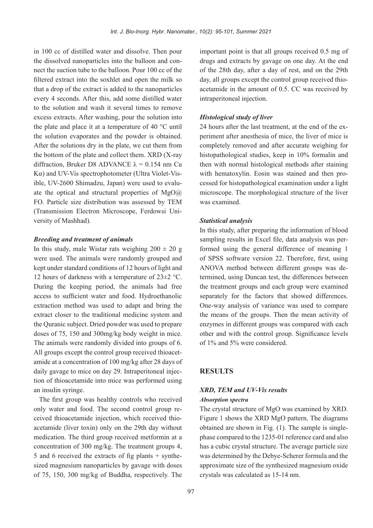in 100 cc of distilled water and dissolve. Then pour nect the suction tube to the balloon. Pour 100 cc of the the dissolved nanoparticles into the balloon and confiltered extract into the soxhlet and open the milk so that a drop of the extract is added to the nanoparticles every 4 seconds. After this, add some distilled water to the solution and wash it several times to remove excess extracts. After washing, pour the solution into the plate and place it at a temperature of 40  $^{\circ}$ C until the solution evaporates and the powder is obtained. After the solutions dry in the plate, we cut them from the bottom of the plate and collect them.  $XRD$   $(X-ray)$ diffraction. Bruker D8 ADVANCE  $\lambda = 0.154$  nm Cu ate the optical and structural properties of  $MgO(a)$ ible. UV-2600 Shimadzu, Japan) were used to evalu- $K\alpha$ ) and UV-Vis spectrophotometer (Ultra Violet-Vis-FO. Particle size distribution was assessed by TEM (Transmission Electron Microscope, Ferdowsi University of Mashhad).

#### *Breeding and treatment of animals*

In this study, male Wistar rats weighing  $200 \pm 20$  g were used. The animals were randomly grouped and kept under standard conditions of 12 hours of light and 12 hours of darkness with a temperature of  $23\pm 2$  °C. During the keeping period, the animals had free access to sufficient water and food. Hydroethanolic extraction method was used to adapt and bring the extract closer to the traditional medicine system and the Quranic subject. Dried powder was used to prepare doses of 75, 150 and 300 mg/kg body weight in mice. The animals were randomly divided into groups of 6. amide at a concentration of 100  $mg/kg$  after 28 days of All groups except the control group received thioacettion of thioacetamide into mice was performed using daily gavage to mice on day 29. Intraperitoneal injecan insulin svringe.

The first group was healthy controls who received acetamide (liver toxin) only on the 29th day without ceived thioacetamide injection, which received thioonly water and food. The second control group remedication. The third group received metformin at a concentration of 300 mg/kg. The treatment groups 4, sized magnesium nanoparticles by gavage with doses 5 and 6 received the extracts of fig plants  $+$  syntheof  $75$ ,  $150$ ,  $300 \text{ mg/kg}$  of Buddha, respectively. The

important point is that all groups received  $0.5$  mg of drugs and extracts by gavage on one day. At the end of the 28th day, after a day of rest, and on the 29th acetamide in the amount of 0.5. CC was received by day, all groups except the control group received thiointraperitoneal injection.

#### *Histological study of liver*

periment after anesthesia of mice, the liver of mice is 24 hours after the last treatment, at the end of the excompletely removed and after accurate weighing for histopathological studies, keep in 10% formalin and then with normal histological methods after staining cessed for histopathological examination under a light with hematoxylin. Eosin was stained and then promicroscope. The morphological structure of the liver was examined.

#### *Statistical analysis*

In this study, after preparing the information of blood formed using the general difference of meaning  $1$ sampling results in Excel file, data analysis was perof SPSS software version 22. Therefore, first, using termined, using Duncan test, the differences between ANOVA method between different groups was dethe treatment groups and each group were examined separately for the factors that showed differences. One-way analysis of variance was used to compare the means of the groups. Then the mean activity of enzymes in different groups was compared with each other and with the control group. Significance levels of  $1\%$  and  $5\%$  were considered.

#### **RESULTS**

## *XRD. TEM and UV-Vis results Absorption* spectra

The crystal structure of MgO was examined by XRD. Figure 1 shows the XRD MgO pattern. The diagrams phase compared to the 1235-01 reference card and also obtained are shown in Fig.  $(1)$ . The sample is singlehas a cubic crystal structure. The average particle size was determined by the Debye-Scherer formula and the approximate size of the synthesized magnesium oxide crystals was calculated as 15-14 nm.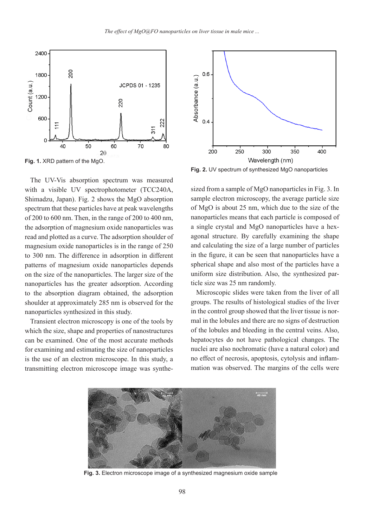

The UV-Vis absorption spectrum was measured with a visible UV spectrophotometer (TCC240A, Shimadzu, Japan). Fig. 2 shows the  $MgO$  absorption spectrum that these particles have at peak wavelengths of 200 to 600 nm. Then, in the range of 200 to 400 nm. the adsorption of magnesium oxide nanoparticles was read and plotted as a curve. The adsorption shoulder of magnesium oxide nanoparticles is in the range of  $250$ to 300 nm. The difference in adsorption in different patterns of magnesium oxide nanoparticles depends on the size of the nanoparticles. The larger size of the nanoparticles has the greater adsorption. According to the absorption diagram obtained, the adsorption shoulder at approximately 285 nm is observed for the nanoparticles synthesized in this study.

Transient electron microscopy is one of the tools by which the size, shape and properties of nanostructures can be examined. One of the most accurate methods for examining and estimating the size of nanoparticles is the use of an electron microscope. In this study, a transmitting electron microscope image was synthe-



Fig. 2. UV spectrum of synthesized MgO nanoparticles

sized from a sample of MgO nanoparticles in Fig. 3. In<br>sample electron microscopy, the average particle size<br>of MgO is about 25 nm, which due to the size of the<br>nanoparticles means that each particle is composed of<br>a singl sample electron microscopy, the average particle size of MgO is about  $25 \text{ nm}$ , which due to the size of the nanoparticles means that each particle is composed of agonal structure. By carefully examining the shape a single crystal and MgO nanoparticles have a hexand calculating the size of a large number of particles in the figure, it can be seen that nanoparticles have a spherical shape and also most of the particles have a uniform size distribution. Also, the synthesized particle size was 25 nm randomly.

Microscopic slides were taken from the liver of all groups. The results of histological studies of the liver mal in the lobules and there are no signs of destruction in the control group showed that the liver tissue is norof the lobules and bleeding in the central veins. Also, hepatocytes do not have pathological changes. The nuclei are also nochromatic (have a natural color) and no effect of necrosis, apoptosis, cytolysis and inflam-<br>mation was observed. The margins of the cells were



Fig. 3. Electron microscope image of a synthesized magnesium oxide sample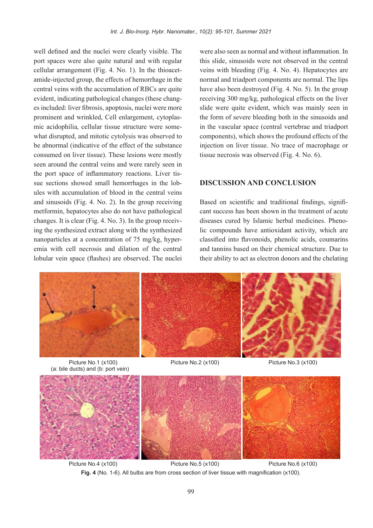well defined and the nuclei were clearly visible. The port spaces were also quite natural and with regular amide-injected group, the effects of hemorrhage in the cellular arrangement (Fig. 4. No. 1). In the thioacetcentral veins with the accumulation of RBCs are quite es included: liver fibrosis, apoptosis, nuclei were more evident, indicating pathological changes (these changwhat disrupted, and mitotic cytolysis was observed to mic acidophilia, cellular tissue structure were someprominent and wrinkled, Cell enlargement, cytoplasbe abnormal (indicative of the effect of the substance consumed on liver tissue). These lesions were mostly seen around the central veins and were rarely seen in ules with accumulation of blood in the central veins sue sections showed small hemorrhages in the lobthe port space of inflammatory reactions. Liver tisand sinusoids (Fig. 4. No. 2). In the group receiving metformin, hepatocytes also do not have pathological ing the synthesized extract along with the synthesized changes. It is clear (Fig. 4. No. 3). In the group receivemia with cell necrosis and dilation of the central nanoparticles at a concentration of  $75 \text{ mg/kg}$ , hyperlobular vein space (flashes) are observed. The nuclei

were also seen as normal and without inflammation. In this slide, sinusoids were not observed in the central veins with bleeding (Fig. 4. No. 4). Hepatocytes are normal and triadport components are normal. The lips have also been destroyed (Fig. 4. No. 5). In the group receiving 300 mg/kg, pathological effects on the liver slide were quite evident, which was mainly seen in the form of severe bleeding both in the sinusoids and in the vascular space (central vertebrae and triadport components), which shows the profound effects of the injection on liver tissue. No trace of macrophage or tissue necrosis was observed  $(Fig. 4. No. 6)$ .

## **DISCUSSION AND CONCLUSION**

Based on scientific and traditional findings, significant success has been shown in the treatment of acute lic compounds have antioxidant activity, which are diseases cured by Islamic herbal medicines. Phenoclassified into flavonoids, phenolic acids, coumarins and tannins based on their chemical structure. Due to their ability to act as electron donors and the chelating



(a: bile ducts) and (b: port vein)



Picture No.4 (x100) Picture No.5 (x100) Picture No.6 (x100) Fig. 4 (No. 1-6). All bulbs are from cross section of liver tissue with magnification (x100).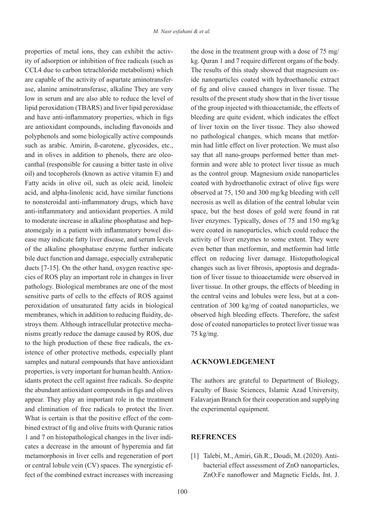ity of adsorption or inhibition of free radicals (such as properties of metal ions, they can exhibit the activ-CCL4 due to carbon tetrachloride metabolism) which ase, alanine aminotransferase, alkaline They are very are capable of the activity of aspartate aminotransferlow in serum and are also able to reduce the level of lipid peroxidation (TBARS) and liver lipid peroxidase and have anti-inflammatory properties, which in figs are antioxidant compounds, including flavonoids and polyphenols and some biologically active compounds such as arabic. Amirin, B-carotene, glycosides, etc., canthal (responsible for causing a bitter taste in olive and in olives in addition to phenols, there are oleooil) and tocopherols (known as active vitamin  $E$ ) and Fatty acids in olive oil, such as oleic acid, linoleic acid, and alpha-linolenic acid, have similar functions to nonsteroidal anti-inflammatory drugs, which have anti-inflammatory and antioxidant properties. A mild ease may indicate fatty liver disease, and serum levels atomegaly in a patient with inflammatory bowel disto moderate increase in alkaline phosphatase and hepof the alkaline phosphatase enzyme further indicate bile duct function and damage, especially extrahepatic cies of ROS play an important role in changes in liver ducts  $[7-15]$ . On the other hand, oxygen reactive spepathology. Biological membranes are one of the most sensitive parts of cells to the effects of ROS against peroxidation of unsaturated fatty acids in biological nisms greatly reduce the damage caused by ROS, due stroys them. Although intracellular protective mechamembranes, which in addition to reducing fluidity, deistence of other protective methods, especially plant to the high production of these free radicals, the exsamples and natural compounds that have antioxidant idants protect the cell against free radicals. So despite properties, is very important for human health. Antioxthe abundant antioxidant compounds in figs and olives appear. They play an important role in the treatment and elimination of free radicals to protect the liver. bined extract of fig and olive fruits with Quranic ratios What is certain is that the positive effect of the comcates a decrease in the amount of hyperemia and fat 1 and 7 on histopathological changes in the liver indimetamorphosis in liver cells and regeneration of port or central lobule vein (CV) spaces. The synergistic effect of the combined extract increases with increasing

the dose in the treatment group with a dose of  $75 \text{ mg}/$ kg. Ouran 1 and 7 require different organs of the body. ide nanoparticles coated with hydroethanolic extract The results of this study showed that magnesium oxof fig and olive caused changes in liver tissue. The results of the present study show that in the liver tissue of the group injected with thioacetamide, the effects of bleeding are quite evident, which indicates the effect of liver toxin on the liver tissue. They also showed min had little effect on liver protection. We must also no pathological changes, which means that metforformin and were able to protect liver tissue as much say that all nano-groups performed better than metas the control group. Magnesium oxide nanoparticles coated with hydroethanolic extract of olive figs were observed at  $75$ , 150 and 300 mg/kg bleeding with cell necrosis as well as dilation of the central lobular vein space, but the best doses of gold were found in rat liver enzymes. Typically, doses of  $75$  and  $150$  mg/kg were coated in nanoparticles, which could reduce the activity of liver enzymes to some extent. They were even better than metformin, and metformin had little effect on reducing liver damage. Histopathological tion of liver tissue to thioacetamide were observed in changes such as liver fibrosis, apoptosis and degradaliver tissue. In other groups, the effects of bleeding in centration of 300 kg/mg of coated nanoparticles, we the central veins and lobules were less, but at a conobserved high bleeding effects. Therefore, the safest dose of coated nanoparticles to protect liver tissue was  $75 \text{ kg/mg}$ .

## **ACKNOWLEDGEMENT**

The authors are grateful to Department of Biology, Faculty of Basic Sciences, Islamic Azad University, Falavarjan Branch for their cooperation and supplying the experimental equipment.

### **REFRENCES**

[1] Talebi, M., Amiri, Gh.R., Doudi, M. (2020). Anti-<br>bacterial effect assessment of ZnO nanoparticles, ZnO:Fe nanoflower and Magnetic Fields, Int. J.